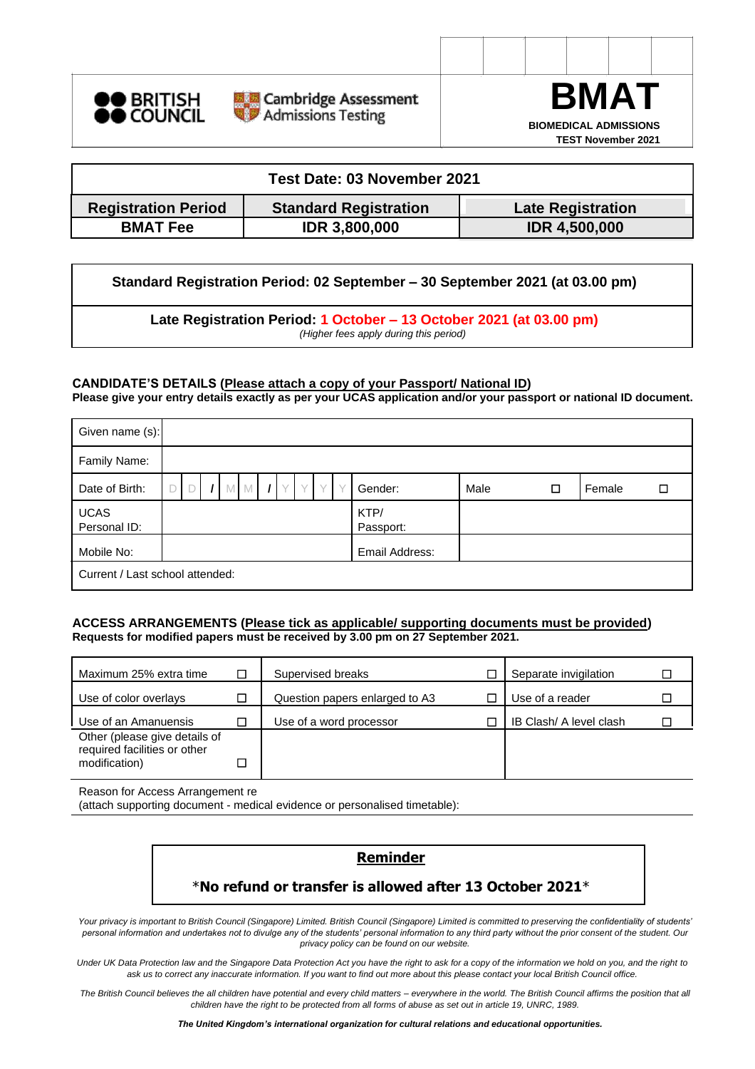





| Test Date: 03 November 2021                                                            |                      |                      |  |  |  |  |  |  |  |
|----------------------------------------------------------------------------------------|----------------------|----------------------|--|--|--|--|--|--|--|
| <b>Standard Registration</b><br><b>Registration Period</b><br><b>Late Registration</b> |                      |                      |  |  |  |  |  |  |  |
| <b>BMAT Fee</b>                                                                        | <b>IDR 3,800,000</b> | <b>IDR 4,500,000</b> |  |  |  |  |  |  |  |

**Standard Registration Period: 02 September – 30 September 2021 (at 03.00 pm)**

**Late Registration Period: 1 October – 13 October 2021 (at 03.00 pm)** *(Higher fees apply during this period)*

**CANDIDATE'S DETAILS (Please attach a copy of your Passport/ National ID)**

**Please give your entry details exactly as per your UCAS application and/or your passport or national ID document.**

| Given name (s):                 |  |   |  |  |  |                   |      |   |        |   |
|---------------------------------|--|---|--|--|--|-------------------|------|---|--------|---|
| Family Name:                    |  |   |  |  |  |                   |      |   |        |   |
| Date of Birth:                  |  | M |  |  |  | Gender:           | Male | □ | Female | П |
| <b>UCAS</b><br>Personal ID:     |  |   |  |  |  | KTP/<br>Passport: |      |   |        |   |
| Mobile No:                      |  |   |  |  |  | Email Address:    |      |   |        |   |
| Current / Last school attended: |  |   |  |  |  |                   |      |   |        |   |

### **ACCESS ARRANGEMENTS (Please tick as applicable/ supporting documents must be provided) Requests for modified papers must be received by 3.00 pm on 27 September 2021.**

| Maximum 25% extra time                                                         | $\Box$ | Supervised breaks              | Separate invigilation   |  |
|--------------------------------------------------------------------------------|--------|--------------------------------|-------------------------|--|
| Use of color overlays                                                          |        | Question papers enlarged to A3 | Use of a reader         |  |
| Use of an Amanuensis                                                           | □      | Use of a word processor        | IB Clash/ A level clash |  |
| Other (please give details of<br>required facilities or other<br>modification) | $\Box$ |                                |                         |  |
|                                                                                |        |                                |                         |  |

Reason for Access Arrangement re

(attach supporting document - medical evidence or personalised timetable):

## **Reminder**

# \***No refund or transfer is allowed after 13 October 2021**\*

*Your privacy is important to British Council (Singapore) Limited. British Council (Singapore) Limited is committed to preserving the confidentiality of students' personal information and undertakes not to divulge any of the students' personal information to any third party without the prior consent of the student. Our privacy policy can be found on our website.*

*Under UK Data Protection law and the Singapore Data Protection Act you have the right to ask for a copy of the information we hold on you, and the right to ask us to correct any inaccurate information. If you want to find out more about this please contact your local British Council office.*

*The British Council believes the all children have potential and every child matters – everywhere in the world. The British Council affirms the position that all children have the right to be protected from all forms of abuse as set out in article 19, UNRC, 1989.*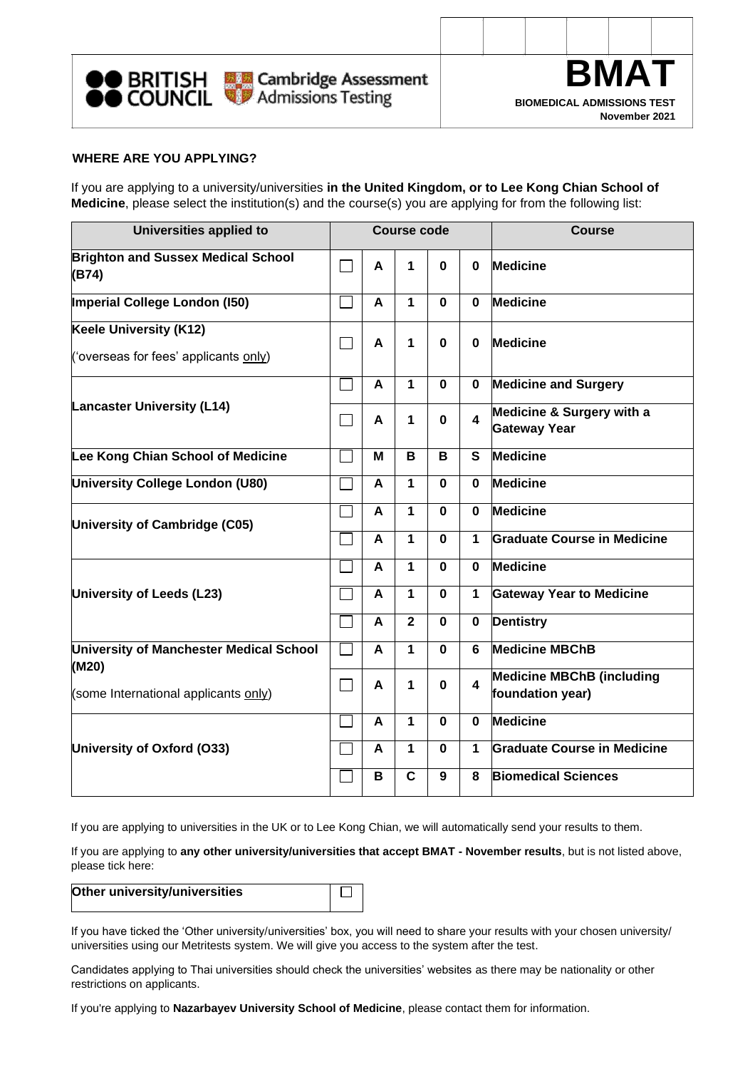



### **WHERE ARE YOU APPLYING?**

If you are applying to a university/universities **in the United Kingdom, or to Lee Kong Chian School of Medicine**, please select the institution(s) and the course(s) you are applying for from the following list:

| Universities applied to                                         |           |   | <b>Course code</b> |             |                  | <b>Course</b>                                        |  |  |  |
|-----------------------------------------------------------------|-----------|---|--------------------|-------------|------------------|------------------------------------------------------|--|--|--|
| <b>Brighton and Sussex Medical School</b><br>(B74)              |           | A | 1                  | $\bf{0}$    | $\bf{0}$         | <b>Medicine</b>                                      |  |  |  |
| Imperial College London (150)                                   |           | A | 1                  | $\bf{0}$    | $\bf{0}$         | <b>Medicine</b>                                      |  |  |  |
| Keele University (K12)<br>('overseas for fees' applicants only) | $\sim 10$ | A | 1                  | 0           | $\bf{0}$         | <b>Medicine</b>                                      |  |  |  |
|                                                                 |           | A | $\mathbf{1}$       | $\bf{0}$    | $\mathbf 0$      | <b>Medicine and Surgery</b>                          |  |  |  |
| <b>Lancaster University (L14)</b>                               |           | A | 1                  | 0           | $\blacktriangle$ | Medicine & Surgery with a<br><b>Gateway Year</b>     |  |  |  |
| Lee Kong Chian School of Medicine                               |           | M | B                  | B           | $\mathbf{s}$     | <b>Medicine</b>                                      |  |  |  |
| University College London (U80)                                 |           | A | 1                  | $\bf{0}$    | $\bf{0}$         | <b>Medicine</b>                                      |  |  |  |
| University of Cambridge (C05)                                   |           | A | 1                  | 0           | 0                | <b>Medicine</b>                                      |  |  |  |
|                                                                 |           | A | $\mathbf{1}$       | $\bf{0}$    | 1                | Graduate Course in Medicine                          |  |  |  |
|                                                                 |           | A | 1                  | $\mathbf 0$ | $\mathbf{0}$     | <b>Medicine</b>                                      |  |  |  |
| University of Leeds (L23)                                       |           | A | 1                  | $\bf{0}$    | 1                | <b>Gateway Year to Medicine</b>                      |  |  |  |
|                                                                 |           | A | $\overline{2}$     | $\mathbf 0$ | $\mathbf 0$      | <b>Dentistry</b>                                     |  |  |  |
| University of Manchester Medical School                         |           | A | 1                  | $\bf{0}$    | 6                | <b>Medicine MBChB</b>                                |  |  |  |
| (M20)<br>(some International applicants only)                   |           | A | 1                  | 0           | 4                | <b>Medicine MBChB (including</b><br>foundation year) |  |  |  |
|                                                                 |           | A | 1                  | 0           | $\bf{0}$         | <b>Medicine</b>                                      |  |  |  |
| University of Oxford (O33)                                      |           | A | $\mathbf 1$        | $\bf{0}$    | $\mathbf 1$      | Graduate Course in Medicine                          |  |  |  |
|                                                                 |           | в | C                  | 9           | 8                | <b>Biomedical Sciences</b>                           |  |  |  |

If you are applying to universities in the UK or to Lee Kong Chian, we will automatically send your results to them.

If you are applying to **any other university/universities that accept BMAT - November results**, but is not listed above, please tick here:

| Other university/universities |  |
|-------------------------------|--|
|                               |  |

If you have ticked the 'Other university/universities' box, you will need to share your results with your chosen university/ universities using our Metritests system. We will give you access to the system after the test.

Candidates applying to Thai universities should check the universities' websites as there may be nationality or other restrictions on applicants.

If you're applying to **Nazarbayev University School of Medicine**, please contact them for information.